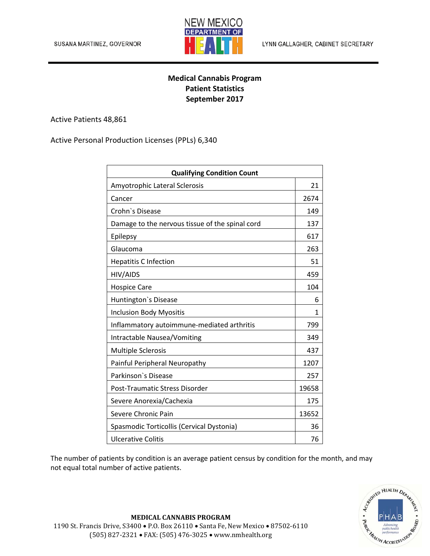

## **Medical Cannabis Program Patient Statistics September 2017**

Active Patients 48,861

Active Personal Production Licenses (PPLs) 6,340

| <b>Qualifying Condition Count</b>               |       |
|-------------------------------------------------|-------|
| Amyotrophic Lateral Sclerosis                   | 21    |
| Cancer                                          | 2674  |
| Crohn's Disease                                 | 149   |
| Damage to the nervous tissue of the spinal cord | 137   |
| Epilepsy                                        | 617   |
| Glaucoma                                        | 263   |
| <b>Hepatitis C Infection</b>                    | 51    |
| HIV/AIDS                                        | 459   |
| <b>Hospice Care</b>                             | 104   |
| Huntington's Disease                            | 6     |
| <b>Inclusion Body Myositis</b>                  | 1     |
| Inflammatory autoimmune-mediated arthritis      | 799   |
| Intractable Nausea/Vomiting                     | 349   |
| <b>Multiple Sclerosis</b>                       | 437   |
| Painful Peripheral Neuropathy                   | 1207  |
| Parkinson's Disease                             | 257   |
| Post-Traumatic Stress Disorder                  | 19658 |
| Severe Anorexia/Cachexia                        | 175   |
| Severe Chronic Pain                             | 13652 |
| Spasmodic Torticollis (Cervical Dystonia)       | 36    |
| <b>Ulcerative Colitis</b>                       | 76    |

The number of patients by condition is an average patient census by condition for the month, and may not equal total number of active patients.